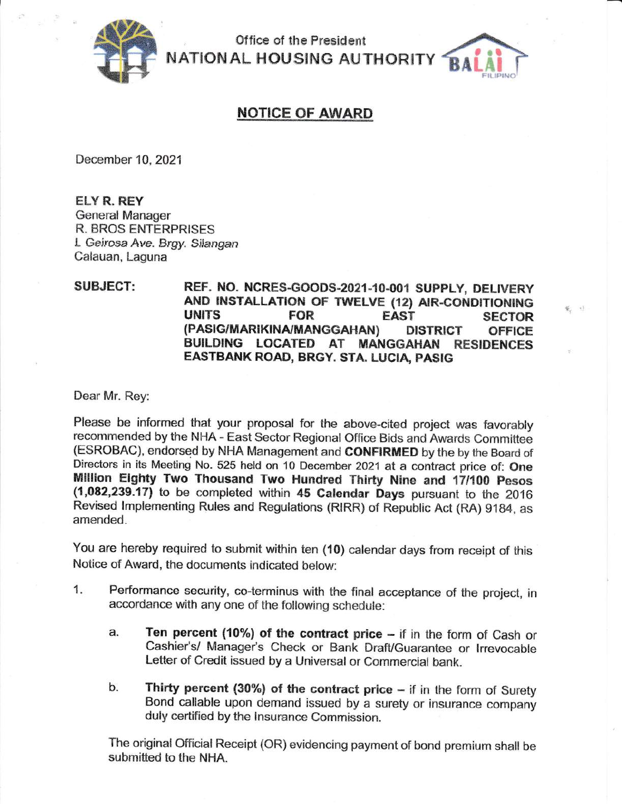

Office of the President **NATIONAL HOUSING AUTHORITY** 

## **NOTICE OF AWARD**

December 10, 2021

**ELY R. REY General Manager R. BROS ENTERPRISES** L Geirosa Ave. Brgy. Silangan Calauan, Laguna

## **SUBJECT:** REF. NO. NCRES-GOODS-2021-10-001 SUPPLY, DELIVERY AND INSTALLATION OF TWELVE (12) AIR-CONDITIONING **UNITS FOR EAST SECTOR** (PASIG/MARIKINA/MANGGAHAN) **DISTRICT OFFICE** BUILDING LOCATED AT MANGGAHAN RESIDENCES EASTBANK ROAD, BRGY. STA. LUCIA, PASIG

된 약

Dear Mr. Rey:

Please be informed that your proposal for the above-cited project was favorably recommended by the NHA - East Sector Regional Office Bids and Awards Committee (ESROBAC), endorsed by NHA Management and CONFIRMED by the by the Board of Directors in its Meeting No. 525 held on 10 December 2021 at a contract price of: One Million Eighty Two Thousand Two Hundred Thirty Nine and 17/100 Pesos (1,082,239.17) to be completed within 45 Calendar Days pursuant to the 2016 Revised Implementing Rules and Regulations (RIRR) of Republic Act (RA) 9184, as amended.

You are hereby required to submit within ten (10) calendar days from receipt of this Notice of Award, the documents indicated below:

- $1.$ Performance security, co-terminus with the final acceptance of the project, in accordance with any one of the following schedule:
	- Ten percent (10%) of the contract price if in the form of Cash or a. Cashier's/ Manager's Check or Bank Draft/Guarantee or Irrevocable Letter of Credit issued by a Universal or Commercial bank.
	- Thirty percent (30%) of the contract price  $-$  if in the form of Surety b. Bond callable upon demand issued by a surety or insurance company duly certified by the Insurance Commission.

The original Official Receipt (OR) evidencing payment of bond premium shall be submitted to the NHA.